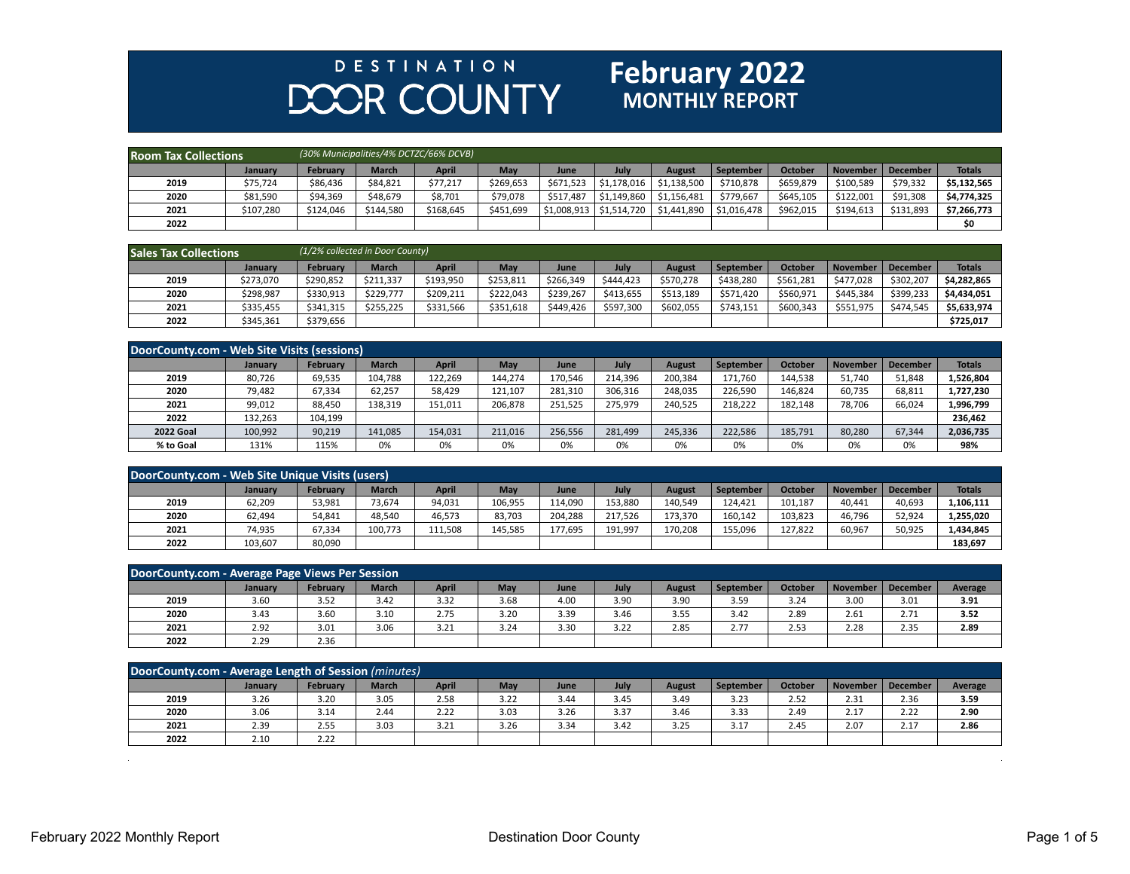## **DESTINATION DOOR COUNTY**

## **February 2022**

| <b>Room Tax Collections</b> |           |           |              | (30% Municipalities/4% DCTZC/66% DCVB) |           |                           |             |             |             |                |                     |           |               |
|-----------------------------|-----------|-----------|--------------|----------------------------------------|-----------|---------------------------|-------------|-------------|-------------|----------------|---------------------|-----------|---------------|
|                             | January   | February  | <b>March</b> | <b>April</b>                           | May       | June                      | July        | August      | September   | <b>October</b> | November   December |           | <b>Totals</b> |
| 2019                        | \$75.724  | \$86.436  | \$84.821     | \$77,217                               | \$269.653 | \$671,523                 | \$1.178.016 | \$1.138.500 | \$710.878   | \$659.879      | \$100.589           | \$79,332  | \$5.132.565   |
| 2020                        | \$81.590  | \$94,369  | \$48.679     | \$8,701                                | \$79,078  | \$517.487                 | \$1,149,860 | \$1,156,481 | \$779.667   | \$645,105      | \$122.001           | \$91.308  | \$4,774,325   |
| 2021                        | \$107,280 | \$124,046 | \$144,580    | \$168,645                              | \$451,699 | $\frac{1}{2}$ \$1,008,913 | \$1,514,720 | \$1,441,890 | \$1,016,478 | \$962,015      | \$194,613           | \$131,893 | \$7,266,773   |
| 2022                        |           |           |              |                                        |           |                           |             |             |             |                |                     |           | \$0           |

| <b>Sales Tax Collections</b> |           | (1/2% collected in Door County) |              |              |           |           |           |               |           |                |           |           |               |
|------------------------------|-----------|---------------------------------|--------------|--------------|-----------|-----------|-----------|---------------|-----------|----------------|-----------|-----------|---------------|
|                              | January   | <b>February</b>                 | <b>March</b> | <b>April</b> | May       | June      | July      | <b>August</b> | September | <b>October</b> | November  | December  | <b>Totals</b> |
| 2019                         | \$273,070 | \$290,852                       | \$211,337    | \$193,950    | \$253,813 | \$266,349 | \$444.423 | \$570,278     | \$438.280 | \$561,281      | \$477.028 | \$302,207 | \$4,282,865   |
| 2020                         | \$298,987 | \$330,913                       | \$229,777    | \$209,211    | \$222,043 | \$239,267 | \$413,655 | \$513,189     | \$571,420 | \$560,971      | \$445.384 | \$399,233 | \$4,434,051   |
| 2021                         | \$335.455 | \$341,315                       | \$255.225    | \$331,566    | \$351.618 | \$449.426 | \$597.300 | \$602,055     | \$743.151 | \$600.343      | \$551.975 | \$474.545 | \$5,633,974   |
| 2022                         | \$345,361 | \$379,656                       |              |              |           |           |           |               |           |                |           |           | \$725.017     |

| DoorCounty.com - Web Site Visits (sessions) |                |                 |              |         |         |         |         |         |           |                |                 |          |               |
|---------------------------------------------|----------------|-----------------|--------------|---------|---------|---------|---------|---------|-----------|----------------|-----------------|----------|---------------|
|                                             | <b>January</b> | <b>February</b> | <b>March</b> | April   | May     | June    | July    | August  | September | <b>October</b> | <b>November</b> | December | <b>Totals</b> |
| 2019                                        | 80,726         | 69,535          | 104,788      | 122,269 | 144,274 | 170,546 | 214,396 | 200,384 | 171,760   | 144,538        | 51,740          | 51,848   | 1,526,804     |
| 2020                                        | 79,482         | 67,334          | 62,257       | 58,429  | 121,107 | 281.310 | 306,316 | 248,035 | 226,590   | 146,824        | 60,735          | 68,811   | 1,727,230     |
| 2021                                        | 99,012         | 88,450          | 138,319      | 151,011 | 206,878 | 251,525 | 275,979 | 240,525 | 218,222   | 182,148        | 78,706          | 66,024   | 1,996,799     |
| 2022                                        | 132,263        | 104,199         |              |         |         |         |         |         |           |                |                 |          | 236,462       |
| <b>2022 Goal</b>                            | 100,992        | 90,219          | 141,085      | 154,031 | 211,016 | 256,556 | 281,499 | 245,336 | 222,586   | 185,791        | 80,280          | 67,344   | 2,036,735     |
| % to Goal                                   | 131%           | 115%            | 0%           | 0%      | 0%      | 0%      | 0%      | 0%      | 0%        | 0%             | 0%              | 0%       | 98%           |

| DoorCounty.com - Web Site Unique Visits (users) |         |                 |              |              |         |         |         |         |           |                |                 |          |               |
|-------------------------------------------------|---------|-----------------|--------------|--------------|---------|---------|---------|---------|-----------|----------------|-----------------|----------|---------------|
|                                                 | January | <b>February</b> | <b>March</b> | <b>April</b> | May     | June    | July    | August  | September | <b>October</b> | <b>November</b> | December | <b>Totals</b> |
| 2019                                            | 62,209  | 53,981          | 73,674       | 94,031       | 106,955 | 114.090 | 153,880 | 140,549 | 124.421   | 101,187        | 40,441          | 40,693   | L,106,111     |
| 2020                                            | 62,494  | 54,841          | 48.540       | 46.573       | 83,703  | 204.288 | 217.526 | 173,370 | 160.142   | 103,823        | 46.796          | 52,924   | 1,255,020     |
| 2021                                            | 74,935  | 67,334          | 100,773      | 111,508      | 145,585 | 177,695 | 191,997 | 170,208 | 155,096   | 127.822        | 60,967          | 50,925   | 1,434,845     |
| 2022                                            | 103,607 | 80,090          |              |              |         |         |         |         |           |                |                 |          | 183,697       |

| DoorCounty.com - Average Page Views Per Session |         |                 |              |              |      |      |             |        |                  |                |      |                     |         |
|-------------------------------------------------|---------|-----------------|--------------|--------------|------|------|-------------|--------|------------------|----------------|------|---------------------|---------|
|                                                 | Januarv | <b>February</b> | <b>March</b> | <b>April</b> | May  | June | <b>July</b> | August | <b>September</b> | <b>October</b> |      | November   December | Average |
| 2019                                            | 3.60    | 3.52            | 3.42         | 3.32         | 3.68 | 4.00 | 3.90        | 3.90   | 3.59             | 3.24           | 3.00 | 3.01                | 3.91    |
| 2020                                            | 3.43    | 3.60            | 3.10         | 2.75         | 3.20 | 3.39 | 3.46        | 3.55   | 3.42             | 2.89           | 2.61 | 2.71                | 3.52    |
| 2021                                            | 2.92    | 3.01            | 3.06         | 3.21         | 3.24 | 3.30 | 3.22        | 2.85   | 2.77             | 2.53           | 2.28 | 2.35                | 2.89    |
| 2022                                            | 2.29    | 2.36            |              |              |      |      |             |        |                  |                |      |                     |         |

| DoorCounty.com - Average Length of Session (minutes) |                |          |              |       |      |      |      |        |           |                |      |                      |         |
|------------------------------------------------------|----------------|----------|--------------|-------|------|------|------|--------|-----------|----------------|------|----------------------|---------|
|                                                      | <b>January</b> | Februarv | <b>March</b> | April | May  | June | July | August | September | <b>October</b> |      | November   December  | Average |
| 2019                                                 | 3.26           | 3.20     | 3.05         | 2.58  | 3.22 | 3.44 | 3.45 | 3.49   | 3.23      | 2.52           | 2.31 | 2.36                 | 3.59    |
| 2020                                                 | 3.06           | 3.14     | 2.44         | 2.22  | 3.03 | 3.26 | 3.37 | 3.46   | 3.33      | 2.49           | 2.17 | 2.22                 | 2.90    |
| 2021                                                 | 2.39           | 2.55     | 3.03         | 3.21  | 3.26 | 3.34 | 3.42 | 3.25   | 3.17      | 2.45           | 2.07 | 2.17<br><u> 2. L</u> | 2.86    |
| 2022                                                 | 2.10           | 2.22     |              |       |      |      |      |        |           |                |      |                      |         |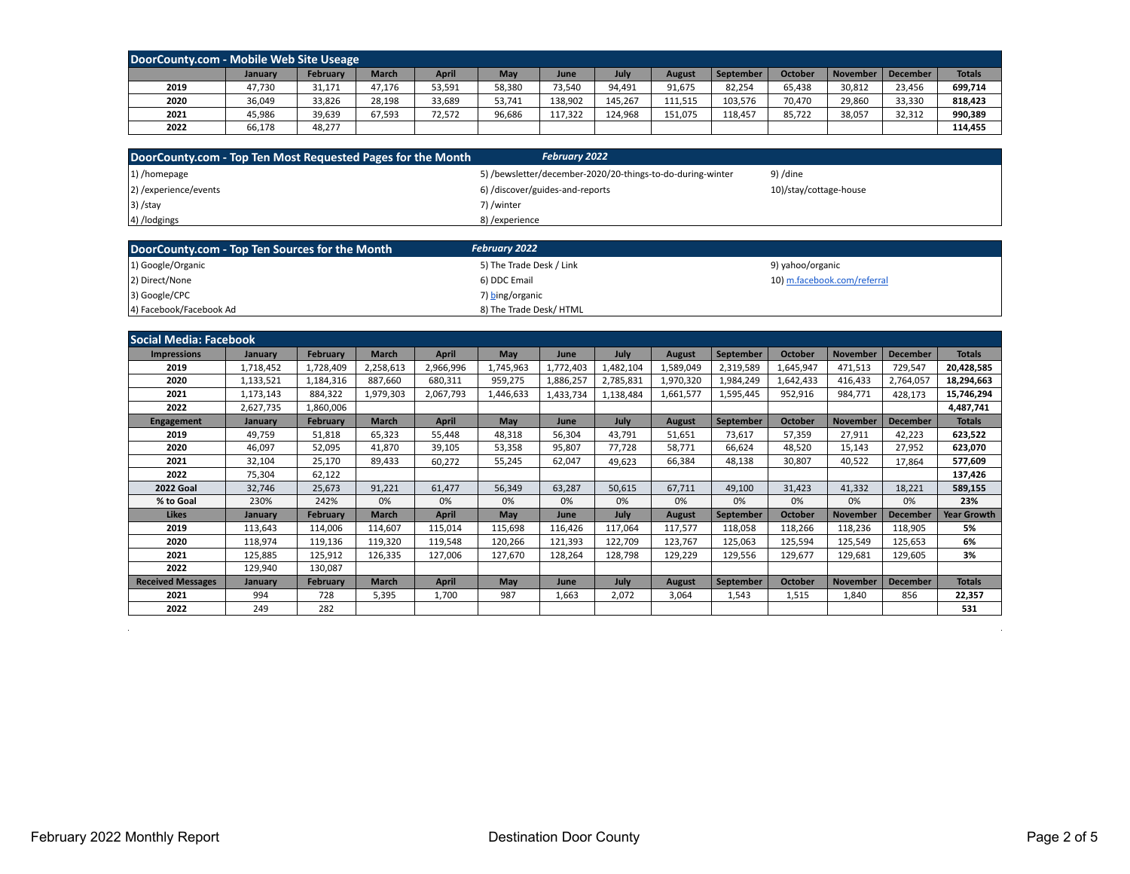| DoorCounty.com - Mobile Web Site Useage |         |                 |              |        |        |         |             |         |           |                |                 |                 |               |
|-----------------------------------------|---------|-----------------|--------------|--------|--------|---------|-------------|---------|-----------|----------------|-----------------|-----------------|---------------|
|                                         | January | <b>February</b> | <b>March</b> | April  | May    | June    | <b>July</b> | August  | September | <b>October</b> | <b>November</b> | <b>December</b> | <b>Totals</b> |
| 2019                                    | 47,730  | 31,171          | 47,176       | 53,591 | 58,380 | 73,540  | 94,491      | 91,675  | 82,254    | 65,438         | 30,812          | 23,456          | 699,714       |
| 2020                                    | 36,049  | 33,826          | 28,198       | 33,689 | 53,741 | 138.902 | 145,267     | 111,515 | 103,576   | 70,470         | 29,860          | 33,330          | 818,423       |
| 2021                                    | 45.986  | 39,639          | 67,593       | 72,572 | 96,686 | 117,322 | 124,968     | 151,075 | 118,457   | 85,722         | 38,057          | 32,312          | 990,389       |
| 2022                                    | 66,178  | 48,277          |              |        |        |         |             |         |           |                |                 |                 | 114,455       |

| DoorCounty.com - Top Ten Most Requested Pages for the Month | <b>February 2022</b>                                       |                        |
|-------------------------------------------------------------|------------------------------------------------------------|------------------------|
| 1) /homepage                                                | 5) /bewsletter/december-2020/20-things-to-do-during-winter | 9) /dine               |
| 2) / experience/events                                      | 6) /discover/guides-and-reports                            | 10)/stay/cottage-house |
| $ 3\rangle$ /stay                                           | 7) /winter                                                 |                        |
| 4) /lodgings                                                | 8) /experience                                             |                        |
|                                                             |                                                            |                        |

| DoorCounty.com - Top Ten Sources for the Month | <b>February 2022</b>     |                             |
|------------------------------------------------|--------------------------|-----------------------------|
| 1) Google/Organic                              | 5) The Trade Desk / Link | 9) yahoo/organic            |
| 2) Direct/None                                 | 6) DDC Email             | 10) m.facebook.com/referral |
| 3) Google/CPC                                  | 7) bing/organic          |                             |
| 4) Facebook/Facebook Ad                        | 8) The Trade Desk/HTML   |                             |

| <b>Social Media: Facebook</b> |           |                 |              |              |            |           |           |               |                  |                |                 |                 |                    |
|-------------------------------|-----------|-----------------|--------------|--------------|------------|-----------|-----------|---------------|------------------|----------------|-----------------|-----------------|--------------------|
| <b>Impressions</b>            | January   | <b>February</b> | <b>March</b> | <b>April</b> | May        | June      | July      | <b>August</b> | <b>September</b> | <b>October</b> | <b>November</b> | <b>December</b> | <b>Totals</b>      |
| 2019                          | 1,718,452 | 1,728,409       | 2,258,613    | 2,966,996    | 1,745,963  | 1,772,403 | 1,482,104 | 1,589,049     | 2,319,589        | 1,645,947      | 471,513         | 729,547         | 20,428,585         |
| 2020                          | 1,133,521 | 1,184,316       | 887,660      | 680,311      | 959,275    | 1,886,257 | 2,785,831 | 1,970,320     | 1,984,249        | 1,642,433      | 416,433         | 2,764,057       | 18,294,663         |
| 2021                          | 1,173,143 | 884,322         | 1,979,303    | 2,067,793    | 1,446,633  | 1,433,734 | 1,138,484 | 1,661,577     | 1,595,445        | 952,916        | 984,771         | 428,173         | 15,746,294         |
| 2022                          | 2,627,735 | 1,860,006       |              |              |            |           |           |               |                  |                |                 |                 | 4,487,741          |
| <b>Engagement</b>             | January   | <b>February</b> | <b>March</b> | April        | May        | June      | July      | <b>August</b> | <b>September</b> | <b>October</b> | <b>November</b> | <b>December</b> | <b>Totals</b>      |
| 2019                          | 49,759    | 51,818          | 65,323       | 55,448       | 48,318     | 56,304    | 43.791    | 51,651        | 73.617           | 57,359         | 27,911          | 42,223          | 623,522            |
| 2020                          | 46,097    | 52,095          | 41,870       | 39,105       | 53,358     | 95,807    | 77,728    | 58,771        | 66,624           | 48,520         | 15,143          | 27,952          | 623,070            |
| 2021                          | 32,104    | 25,170          | 89,433       | 60,272       | 55,245     | 62,047    | 49,623    | 66,384        | 48,138           | 30,807         | 40,522          | 17,864          | 577,609            |
| 2022                          | 75,304    | 62,122          |              |              |            |           |           |               |                  |                |                 |                 | 137,426            |
| <b>2022 Goal</b>              | 32,746    | 25,673          | 91,221       | 61,477       | 56,349     | 63,287    | 50,615    | 67,711        | 49,100           | 31,423         | 41,332          | 18,221          | 589,155            |
| % to Goal                     | 230%      | 242%            | 0%           | 0%           | 0%         | 0%        | 0%        | 0%            | 0%               | 0%             | 0%              | 0%              | 23%                |
| <b>Likes</b>                  | Januarv   | <b>February</b> | <b>March</b> | <b>April</b> | May        | June      | July      | <b>August</b> | <b>September</b> | <b>October</b> | <b>November</b> | <b>December</b> | <b>Year Growth</b> |
| 2019                          | 113,643   | 114,006         | 114,607      | 115,014      | 115,698    | 116,426   | 117,064   | 117,577       | 118,058          | 118,266        | 118,236         | 118,905         | 5%                 |
| 2020                          | 118,974   | 119,136         | 119,320      | 119,548      | 120,266    | 121,393   | 122,709   | 123,767       | 125,063          | 125,594        | 125,549         | 125,653         | 6%                 |
| 2021                          | 125,885   | 125,912         | 126,335      | 127,006      | 127,670    | 128,264   | 128,798   | 129,229       | 129,556          | 129,677        | 129,681         | 129,605         | 3%                 |
| 2022                          | 129,940   | 130,087         |              |              |            |           |           |               |                  |                |                 |                 |                    |
| <b>Received Messages</b>      | Januarv   | <b>February</b> | <b>March</b> | <b>April</b> | <b>May</b> | June      | July      | <b>August</b> | September        | <b>October</b> | November        | <b>December</b> | <b>Totals</b>      |
| 2021                          | 994       | 728             | 5,395        | 1,700        | 987        | 1,663     | 2,072     | 3,064         | 1,543            | 1,515          | 1,840           | 856             | 22,357             |
| 2022                          | 249       | 282             |              |              |            |           |           |               |                  |                |                 |                 | 531                |

 $\mathcal{L}$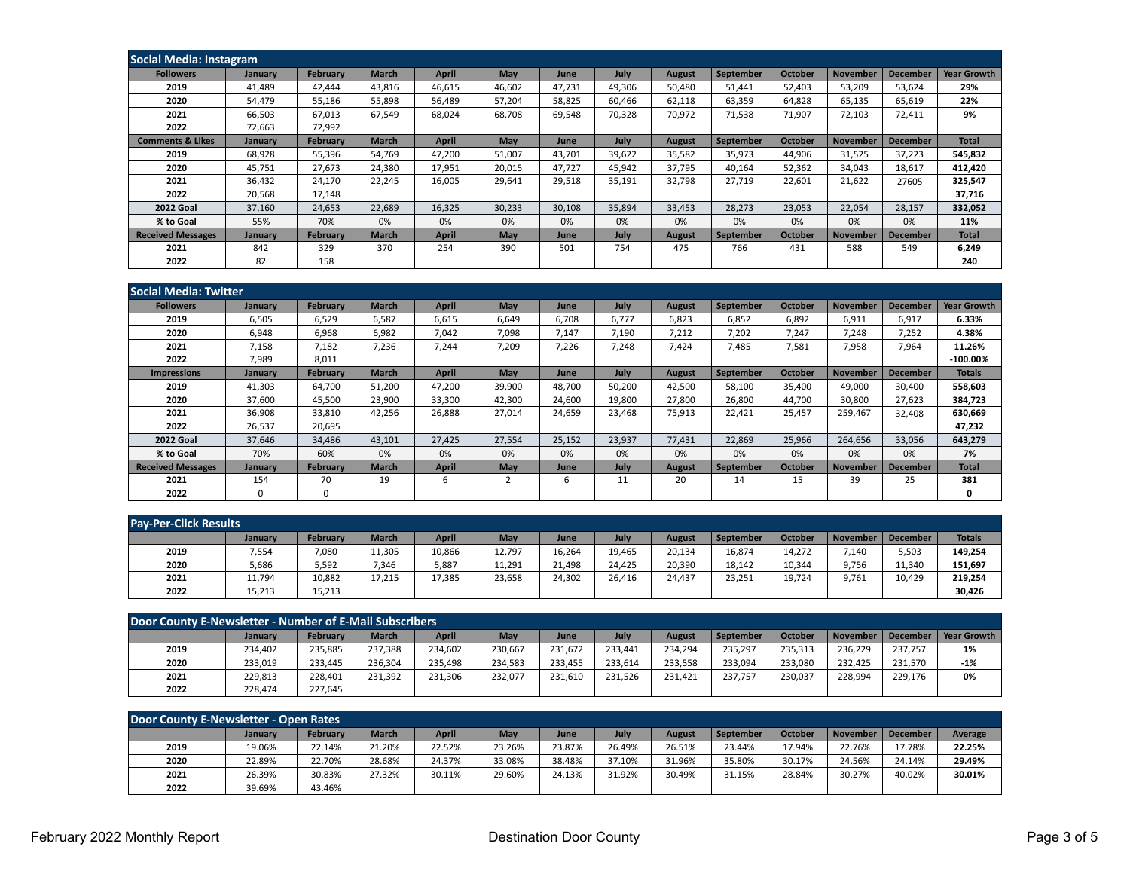| <b>Social Media: Instagram</b> |         |                 |              |        |        |             |             |               |                  |                |                 |                 |                    |
|--------------------------------|---------|-----------------|--------------|--------|--------|-------------|-------------|---------------|------------------|----------------|-----------------|-----------------|--------------------|
| <b>Followers</b>               | January | <b>February</b> | <b>March</b> | April  | May    | June        | July        | <b>August</b> | <b>September</b> | <b>October</b> | <b>November</b> | <b>December</b> | <b>Year Growth</b> |
| 2019                           | 41,489  | 42,444          | 43,816       | 46,615 | 46,602 | 47,731      | 49,306      | 50,480        | 51,441           | 52,403         | 53,209          | 53,624          | 29%                |
| 2020                           | 54,479  | 55,186          | 55.898       | 56,489 | 57,204 | 58,825      | 60.466      | 62,118        | 63,359           | 64.828         | 65,135          | 65,619          | 22%                |
| 2021                           | 66,503  | 67,013          | 67.549       | 68,024 | 68.708 | 69,548      | 70,328      | 70,972        | 71,538           | 71,907         | 72,103          | 72,411          | 9%                 |
| 2022                           | 72,663  | 72,992          |              |        |        |             |             |               |                  |                |                 |                 |                    |
| <b>Comments &amp; Likes</b>    | January | <b>February</b> | <b>March</b> | April  | May    | <b>June</b> | July        | <b>August</b> | <b>September</b> | <b>October</b> | <b>November</b> | <b>December</b> | <b>Total</b>       |
| 2019                           | 68,928  | 55,396          | 54.769       | 47,200 | 51,007 | 43.701      | 39,622      | 35,582        | 35,973           | 44,906         | 31,525          | 37,223          | 545,832            |
| 2020                           | 45,751  | 27,673          | 24,380       | 17,951 | 20,015 | 47,727      | 45,942      | 37,795        | 40,164           | 52,362         | 34,043          | 18,617          | 412,420            |
| 2021                           | 36,432  | 24,170          | 22.245       | 16,005 | 29,641 | 29,518      | 35,191      | 32,798        | 27,719           | 22,601         | 21,622          | 27605           | 325,547            |
| 2022                           | 20,568  | 17,148          |              |        |        |             |             |               |                  |                |                 |                 | 37,716             |
| <b>2022 Goal</b>               | 37,160  | 24,653          | 22,689       | 16,325 | 30,233 | 30,108      | 35,894      | 33,453        | 28,273           | 23,053         | 22,054          | 28,157          | 332,052            |
| % to Goal                      | 55%     | 70%             | 0%           | 0%     | 0%     | 0%          | 0%          | 0%            | 0%               | 0%             | 0%              | 0%              | 11%                |
| <b>Received Messages</b>       | January | <b>February</b> | <b>March</b> | April  | May    | <b>June</b> | <b>July</b> | <b>August</b> | September        | <b>October</b> | <b>November</b> | <b>December</b> | <b>Total</b>       |
| 2021                           | 842     | 329             | 370          | 254    | 390    | 501         | 754         | 475           | 766              | 431            | 588             | 549             | 6,249              |
| 2022                           | 82      | 158             |              |        |        |             |             |               |                  |                |                 |                 | 240                |

| l Social Media: Twitter  |          |                 |              |              |                |        |        |               |                  |                |                 |                 |                    |
|--------------------------|----------|-----------------|--------------|--------------|----------------|--------|--------|---------------|------------------|----------------|-----------------|-----------------|--------------------|
| <b>Followers</b>         | January  | <b>February</b> | <b>March</b> | April        | May            | June   | July   | <b>August</b> | <b>September</b> | <b>October</b> | <b>November</b> | <b>December</b> | <b>Year Growth</b> |
| 2019                     | 6,505    | 6,529           | 6,587        | 6,615        | 6,649          | 6,708  | 6.777  | 6,823         | 6,852            | 6,892          | 6,911           | 6,917           | 6.33%              |
| 2020                     | 6,948    | 6,968           | 6,982        | 7,042        | 7,098          | 7,147  | 7,190  | 7,212         | 7,202            | 7,247          | 7,248           | 7,252           | 4.38%              |
| 2021                     | 7,158    | 7,182           | 7,236        | 7,244        | 7,209          | 7,226  | 7,248  | 7,424         | 7,485            | 7,581          | 7,958           | 7,964           | 11.26%             |
| 2022                     | 7,989    | 8,011           |              |              |                |        |        |               |                  |                |                 |                 | $-100.00\%$        |
| <b>Impressions</b>       | January  | <b>February</b> | <b>March</b> | <b>April</b> | May            | June   | July   | <b>August</b> | <b>September</b> | <b>October</b> | <b>November</b> | <b>December</b> | <b>Totals</b>      |
| 2019                     | 41,303   | 64,700          | 51,200       | 47,200       | 39,900         | 48,700 | 50,200 | 42,500        | 58,100           | 35,400         | 49,000          | 30,400          | 558,603            |
| 2020                     | 37,600   | 45,500          | 23,900       | 33,300       | 42,300         | 24,600 | 19,800 | 27,800        | 26,800           | 44.700         | 30,800          | 27,623          | 384,723            |
| 2021                     | 36,908   | 33,810          | 42,256       | 26,888       | 27,014         | 24,659 | 23,468 | 75,913        | 22,421           | 25.457         | 259.467         | 32,408          | 630,669            |
| 2022                     | 26,537   | 20,695          |              |              |                |        |        |               |                  |                |                 |                 | 47,232             |
| <b>2022 Goal</b>         | 37,646   | 34,486          | 43,101       | 27,425       | 27,554         | 25,152 | 23,937 | 77,431        | 22,869           | 25,966         | 264,656         | 33,056          | 643,279            |
| % to Goal                | 70%      | 60%             | 0%           | 0%           | 0%             | 0%     | 0%     | 0%            | 0%               | 0%             | 0%              | 0%              | 7%                 |
| <b>Received Messages</b> | January  | <b>February</b> | <b>March</b> | April        | May            | June   | July   | <b>August</b> | September        | <b>October</b> | <b>November</b> | <b>December</b> | <b>Total</b>       |
| 2021                     | 154      | 70              | 19           | 6            | $\overline{2}$ | 6      | 11     | 20            | 14               | 15             | 39              | 25              | 381                |
| 2022                     | $\Omega$ | $\Omega$        |              |              |                |        |        |               |                  |                |                 |                 | 0                  |

| <b>Pay-Per-Click Results</b> |                |                 |              |              |        |        |        |               |           |                |                 |          |               |
|------------------------------|----------------|-----------------|--------------|--------------|--------|--------|--------|---------------|-----------|----------------|-----------------|----------|---------------|
|                              | <b>January</b> | <b>February</b> | <b>March</b> | <b>April</b> | May    | June   | July   | <b>August</b> | September | <b>October</b> | <b>November</b> | December | <b>Totals</b> |
| 2019                         | 7,554          | 7,080           | 11,305       | 10,866       | 12,797 | 16,264 | 19,465 | 20,134        | 16,874    | 14,272         | 7,140           | 5,503    | 149,254       |
| 2020                         | 5,686          | 5,592           | 7,346        | 5,887        | 11,291 | 21,498 | 24,425 | 20,390        | 18,142    | 10,344         | 9,756           | 11,340   | 151,697       |
| 2021                         | 11,794         | 10,882          | 17.215       | 17,385       | 23,658 | 24,302 | 26.416 | 24,437        | 23,251    | 19,724         | 9,761           | 10.429   | 219,254       |
| 2022                         | 15,213         | 15,213          |              |              |        |        |        |               |           |                |                 |          | 30,426        |

| Door County E-Newsletter - Number of E-Mail Subscribers |         |                 |              |              |         |         |         |         |           |                |                 |                 |                    |
|---------------------------------------------------------|---------|-----------------|--------------|--------------|---------|---------|---------|---------|-----------|----------------|-----------------|-----------------|--------------------|
|                                                         | January | <b>February</b> | <b>March</b> | <b>April</b> | May     | June    | July    | August  | September | <b>October</b> | <b>November</b> | <b>December</b> | <b>Year Growth</b> |
| 2019                                                    | 234.402 | 235.885         | 237.388      | 234.602      | 230.667 | 231.672 | 233.441 | 234.294 | 235.297   | 235.313        | 236.229         | 237.757         | 1%                 |
| 2020                                                    | 233,019 | 233,445         | 236.304      | 235,498      | 234,583 | 233.455 | 233,614 | 233,558 | 233,094   | 233.080        | 232.425         | 231,570         | $-1%$              |
| 2021                                                    | 229,813 | 228.401         | 231.392      | 231,306      | 232,077 | 231,610 | 231,526 | 231.421 | 237.757   | 230,037        | 228.994         | 229,176         | 0%                 |
| 2022                                                    | 228,474 | 227.645         |              |              |         |         |         |         |           |                |                 |                 |                    |

| Door County E-Newsletter - Open Rates |         |                 |              |              |        |             |        |               |           |                |                 |          |         |
|---------------------------------------|---------|-----------------|--------------|--------------|--------|-------------|--------|---------------|-----------|----------------|-----------------|----------|---------|
|                                       | January | <b>February</b> | <b>March</b> | <b>April</b> | May    | <b>June</b> | July   | <b>August</b> | September | <b>October</b> | <b>November</b> | December | Average |
| 2019                                  | 19.06%  | 22.14%          | 21.20%       | 22.52%       | 23.26% | 23.87%      | 26.49% | 26.51%        | 23.44%    | 17.94%         | 22.76%          | .7.78%   | 22.25%  |
| 2020                                  | 22.89%  | 22.70%          | 28.68%       | 24.37%       | 33.08% | 38.48%      | 37.10% | 31.96%        | 35.80%    | 30.17%         | 24.56%          | 24.14%   | 29.49%  |
| 2021                                  | 26.39%  | 30.83%          | 27.32%       | 30.11%       | 29.60% | 24.13%      | 31.92% | 30.49%        | 31.15%    | 28.84%         | 30.27%          | 40.02%   | 30.01%  |
| 2022                                  | 39.69%  | 43.46%          |              |              |        |             |        |               |           |                |                 |          |         |

 $\sim 10^7$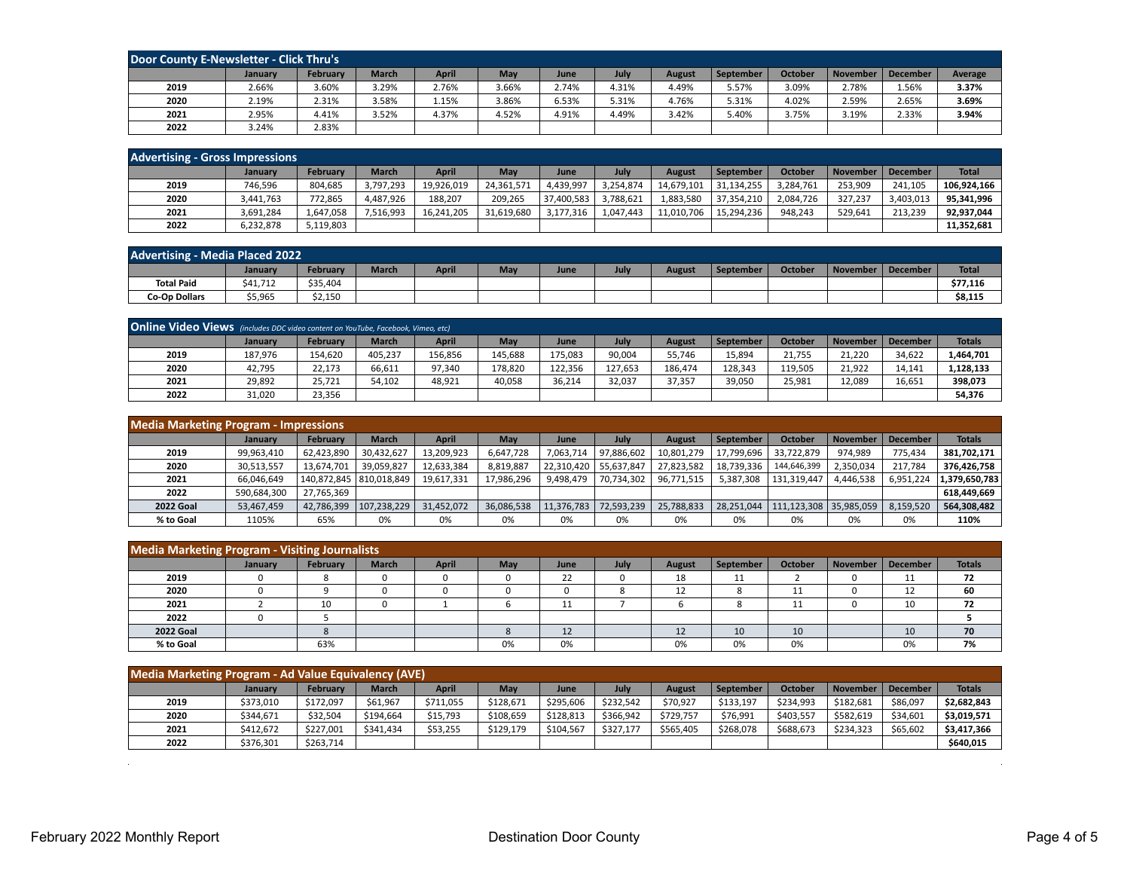| Door County E-Newsletter - Click Thru's |         |                 |              |       |       |       |       |        |           |                |                 |          |         |
|-----------------------------------------|---------|-----------------|--------------|-------|-------|-------|-------|--------|-----------|----------------|-----------------|----------|---------|
|                                         | January | <b>February</b> | <b>March</b> | April | May   | June  | July  | August | September | <b>October</b> | <b>November</b> | December | Average |
| 2019                                    | 2.66%   | 3.60%           | 3.29%        | 2.76% | 3.66% | 2.74% | 4.31% | 4.49%  | 5.57%     | 3.09%          | 2.78%           | 1.56%    | 3.37%   |
| 2020                                    | 2.19%   | 2.31%           | 3.58%        | 1.15% | 3.86% | 6.53% | 5.31% | 4.76%  | 5.31%     | 4.02%          | 2.59%           | 2.65%    | 3.69%   |
| 2021                                    | 2.95%   | 4.41%           | 3.52%        | 4.37% | 4.52% | 4.91% | 4.49% | 3.42%  | 5.40%     | 3.75%          | 3.19%           | 2.33%    | 3.94%   |
| 2022                                    | 3.24%   | 2.83%           |              |       |       |       |       |        |           |                |                 |          |         |

| <b>Advertising - Gross Impressions</b> |           |                 |              |              |            |            |           |               |            |                |                 |                 |              |
|----------------------------------------|-----------|-----------------|--------------|--------------|------------|------------|-----------|---------------|------------|----------------|-----------------|-----------------|--------------|
|                                        | January   | <b>February</b> | <b>March</b> | <b>April</b> | May        | June       | July      | <b>August</b> | September  | <b>October</b> | <b>November</b> | <b>December</b> | <b>Total</b> |
| 2019                                   | 746,596   | 804,685         | 3,797,293    | 19,926,019   | 24,361,571 | 4,439,997  | 3,254,874 | 14,679,101    | 31,134,255 | 3,284,761      | 253.909         | 241.105         | 106.924.166  |
| 2020                                   | 3,441,763 | 772,865         | 4.487.926    | 188,207      | 209.265    | 37.400.583 | 3,788,621 | 1,883,580     | 37.354.210 | 2,084,726      | 327.237         | 3,403,013       | 95,341,996   |
| 2021                                   | 3.691.284 | 1.647.058       | 1.516.993    | 16,241,205   | 31.619.680 | 3.177.316  | 1,047,443 | 11,010,706    | 15.294.236 | 948.243        | 529.641         | 213,239         | 92.937.044   |
| 2022                                   | 6,232,878 | 5,119,803       |              |              |            |            |           |               |            |                |                 |                 | 11.352.681   |

| <b>Advertising - Media Placed 2022</b> |                |                 |              |              |     |      |      |        |                  |                |          |          |              |
|----------------------------------------|----------------|-----------------|--------------|--------------|-----|------|------|--------|------------------|----------------|----------|----------|--------------|
|                                        | <b>January</b> | <b>February</b> | <b>March</b> | <b>April</b> | May | June | July | August | <b>September</b> | <b>October</b> | November | December | <b>Total</b> |
| <b>Total Paid</b>                      | \$41.712       | \$35,404        |              |              |     |      |      |        |                  |                |          |          | \$77.116     |
| <b>Co-Op Dollars</b>                   | \$5,965        | \$2,150         |              |              |     |      |      |        |                  |                |          |          | \$8,115      |

| Online Video Views (includes DDC video content on YouTube, Facebook, Vimeo, etc) |         |                 |              |              |         |         |         |         |           |                |                 |                 |               |
|----------------------------------------------------------------------------------|---------|-----------------|--------------|--------------|---------|---------|---------|---------|-----------|----------------|-----------------|-----------------|---------------|
|                                                                                  | January | <b>February</b> | <b>March</b> | <b>April</b> | May     | June    | July    | August  | September | <b>October</b> | <b>November</b> | <b>December</b> | <b>Totals</b> |
| 2019                                                                             | 187,976 | 154,620         | 405,237      | 156,856      | 145,688 | 175,083 | 90,004  | 55,746  | 15,894    | 21,755         | 21,220          | 34,622          | 1,464,701     |
| 2020                                                                             | 42,795  | 22,173          | 66,611       | 97.340       | 178,820 | 122.356 | 127.653 | 186.474 | 128,343   | 119,505        | 21,922          | 14,141          | 1,128,133     |
| 2021                                                                             | 29,892  | 25.721          | 54.102       | 48,921       | 40,058  | 36,214  | 32,037  | 37,357  | 39,050    | 25,981         | 12,089          | 16,651          | 398,073       |
| 2022                                                                             | 31,020  | 23,356          |              |              |         |         |         |         |           |                |                 |                 | 54,376        |

| <b>Media Marketing Program - Impressions</b> |             |                           |              |            |            |            |            |            |            |                          |                 |           |               |
|----------------------------------------------|-------------|---------------------------|--------------|------------|------------|------------|------------|------------|------------|--------------------------|-----------------|-----------|---------------|
|                                              | January     | <b>February</b>           | <b>March</b> | April      | May        | June       | Julv       | August     | September  | October                  | <b>November</b> | December  | <b>Totals</b> |
| 2019                                         | 99,963,410  | 62,423,890                | 30,432,627   | 13,209,923 | 6,647,728  | 7,063,714  | 97,886,602 | 10,801,279 | 17,799,696 | 33,722,879               | 974,989         | 775,434   | 381,702,171   |
| 2020                                         | 30,513,557  | 13,674,701                | 39,059,827   | 12,633,384 | 8,819,887  | 22,310,420 | 55,637,847 | 27,823,582 | 18,739,336 | 144,646,399              | 2,350,034       | 217.784   | 376,426,758   |
| 2021                                         | 66,046,649  | 140,872,845   810,018,849 |              | 19,617,331 | 17.986.296 | 9,498,479  | 70.734.302 | 96,771,515 | 5,387,308  | 131.319.447              | 4.446.538       | 6,951,224 | 1,379,650,783 |
| 2022                                         | 590,684,300 | 27.765.369                |              |            |            |            |            |            |            |                          |                 |           | 618,449,669   |
| <b>2022 Goal</b>                             | 53,467,459  | 42,786,399                | 107,238,229  | 31,452,072 | 36,086,538 | 11,376,783 | 72,593,239 | 25,788,833 | 28.251.044 | 111,123,308   35,985,059 |                 | 8,159,520 | 564,308,482   |
| % to Goal                                    | 1105%       | 65%                       | 0%           | 0%         | 0%         | 0%         | 0%         | 0%         | 0%         | 0%                       | 0%              | 0%        | 110%          |

| <b>Media Marketing Program - Visiting Journalists</b> |                |          |              |              |     |      |      |        |           |                |                 |          |               |
|-------------------------------------------------------|----------------|----------|--------------|--------------|-----|------|------|--------|-----------|----------------|-----------------|----------|---------------|
|                                                       | <b>January</b> | February | <b>March</b> | <b>April</b> | May | June | July | August | September | <b>October</b> | <b>November</b> | December | <b>Totals</b> |
| 2019                                                  |                |          |              |              |     | 22   |      | 18     | 11        |                |                 | ᆠ        | 72            |
| 2020                                                  |                |          |              |              |     |      |      | ᅩ      | ٥         |                |                 | ᆠ        | 60            |
| 2021                                                  |                | 10       |              |              |     | ᆠ    |      |        | ົ         |                |                 | 10       | 72            |
| 2022                                                  |                |          |              |              |     |      |      |        |           |                |                 |          |               |
| <b>2022 Goal</b>                                      |                |          |              |              |     | 12   |      | ᅩ      | 10        | 10             |                 | 10       | 70            |
| % to Goal                                             |                | 63%      |              |              | 0%  | 0%   |      | 0%     | 0%        | 0%             |                 | 0%       | 7%            |

| <b>Media Marketing Program - Ad Value Equivalency (AVE)</b> |           |                 |              |              |           |           |           |               |           |           |                 |                 |               |
|-------------------------------------------------------------|-----------|-----------------|--------------|--------------|-----------|-----------|-----------|---------------|-----------|-----------|-----------------|-----------------|---------------|
|                                                             | January   | <b>February</b> | <b>March</b> | <b>April</b> | May       | June      | July      | <b>August</b> | September | October   | <b>November</b> | <b>December</b> | <b>Totals</b> |
| 2019                                                        | \$373,010 | \$172,097       | \$61,967     | \$711,055    | \$128,671 | \$295,606 | \$232,542 | \$70,927      | \$133,197 | \$234,993 | \$182,681       | \$86,097        | \$2,682,843   |
| 2020                                                        | \$344.671 | \$32,504        | \$194.664    | \$15,793     | \$108.659 | \$128,813 | \$366.942 | \$729,757     | \$76,991  | \$403.557 | \$582,619       | \$34.601        | \$3,019,571   |
| 2021                                                        | \$412.672 | \$227.001       | \$341.434    | \$53,255     | \$129.179 | \$104.567 | \$327.177 | \$565.405     | \$268.078 | \$688,673 | \$234.323       | \$65.602        | \$3,417,366   |
| 2022                                                        | \$376,301 | \$263,714       |              |              |           |           |           |               |           |           |                 |                 | \$640.015     |

 $\sim$